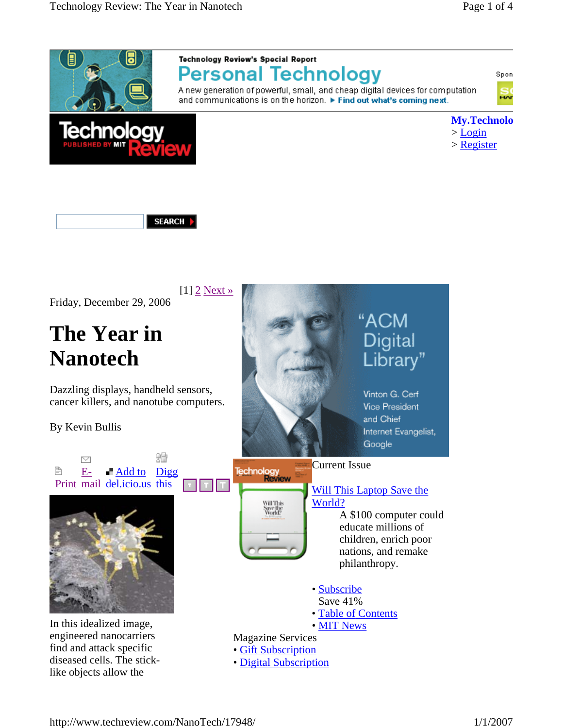



A new generation of powerful, small, and cheap digital devices for computation and communications is on the horizon. ▶ Find out what's coming next.





SEARCH |

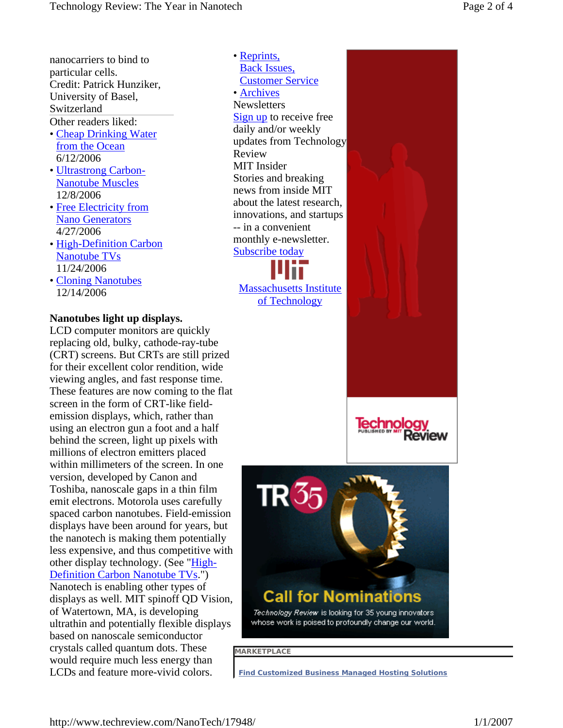nanocarriers to bind to particular cells. Credit: Patrick Hunziker, University of Basel, Switzerland Other readers liked:

- Cheap Drinking Water from the Ocean 6/12/2006
- Ultrastrong Carbon-Nanotube Muscles 12/8/2006
- Free Electricity from Nano Generators 4/27/2006
- High-Definition Carbon Nanotube TVs 11/24/2006
- Cloning Nanotubes 12/14/2006

### **Nanotubes light up displays.**

LCD computer monitors are quickly replacing old, bulky, cathode-ray-tube (CRT) screens. But CRTs are still prized for their excellent color rendition, wide viewing angles, and fast response time. These features are now coming to the flat screen in the form of CRT-like fieldemission displays, which, rather than using an electron gun a foot and a half behind the screen, light up pixels with millions of electron emitters placed within millimeters of the screen. In one version, developed by Canon and Toshiba, nanoscale gaps in a thin film emit electrons. Motorola uses carefully spaced carbon nanotubes. Field-emission displays have been around for years, but the nanotech is making them potentially less expensive, and thus competitive with other display technology. (See "High-Definition Carbon Nanotube TVs.") Nanotech is enabling other types of displays as well. MIT spinoff QD Vision, of Watertown, MA, is developing ultrathin and potentially flexible displays based on nanoscale semiconductor crystals called quantum dots. These would require much less energy than LCDs and feature more-vivid colors.

**Newsletters** Sign up to receive free daily and/or weekly updates from Technology Review MIT Insider Stories and breaking news from inside MIT about the latest research, innovations, and startups -- in a convenient monthly e-newsletter. Subscribe today • Reprints, Back Issues, Customer Service • Archives

Massachusetts Institute of Technology



**Technology** 

eview

**MARKETPLACE** 

**Find Customized Business Managed Hosting Solutions**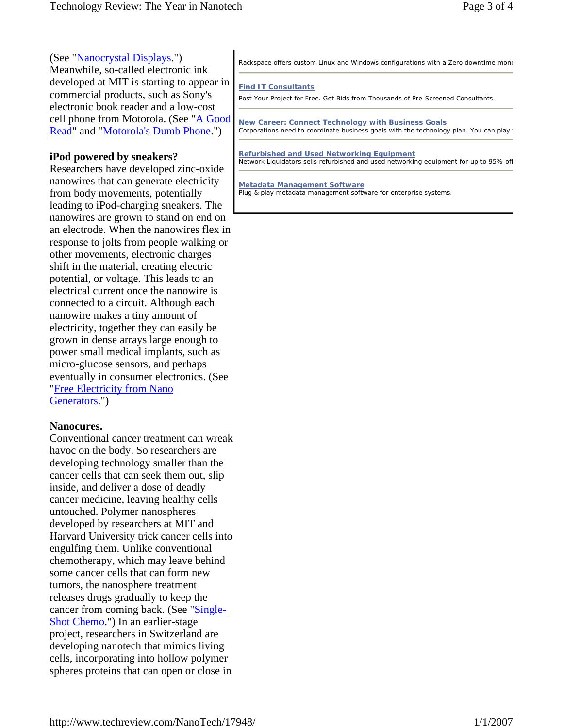#### (See "Nanocrystal Displays.")

Meanwhile, so-called electronic ink developed at MIT is starting to appear in commercial products, such as Sony's electronic book reader and a low-cost cell phone from Motorola. (See "A Good Read" and "Motorola's Dumb Phone.")

#### **iPod powered by sneakers?**

Researchers have developed zinc-oxide nanowires that can generate electricity from body movements, potentially leading to iPod-charging sneakers. The nanowires are grown to stand on end on an electrode. When the nanowires flex in response to jolts from people walking or other movements, electronic charges shift in the material, creating electric potential, or voltage. This leads to an electrical current once the nanowire is connected to a circuit. Although each nanowire makes a tiny amount of electricity, together they can easily be grown in dense arrays large enough to power small medical implants, such as micro-glucose sensors, and perhaps eventually in consumer electronics. (See "Free Electricity from Nano Generators.")

#### **Nanocures.**

Conventional cancer treatment can wreak havoc on the body. So researchers are developing technology smaller than the cancer cells that can seek them out, slip inside, and deliver a dose of deadly cancer medicine, leaving healthy cells untouched. Polymer nanospheres developed by researchers at MIT and Harvard University trick cancer cells into engulfing them. Unlike conventional chemotherapy, which may leave behind some cancer cells that can form new tumors, the nanosphere treatment releases drugs gradually to keep the cancer from coming back. (See "Single-Shot Chemo.") In an earlier-stage project, researchers in Switzerland are developing nanotech that mimics living cells, incorporating into hollow polymer spheres proteins that can open or close in

#### **Find IT Consultants**

Post Your Project for Free. Get Bids from Thousands of Pre-Screened Consultants.

**New Career: Connect Technology with Business Goals** Corporations need to coordinate business goals with the technology plan. You can play t

**Refurbished and Used Networking Equipment** Network Liquidators sells refurbished and used networking equipment for up to 95% off

**Metadata Management Software** Plug & play metadata management software for enterprise systems.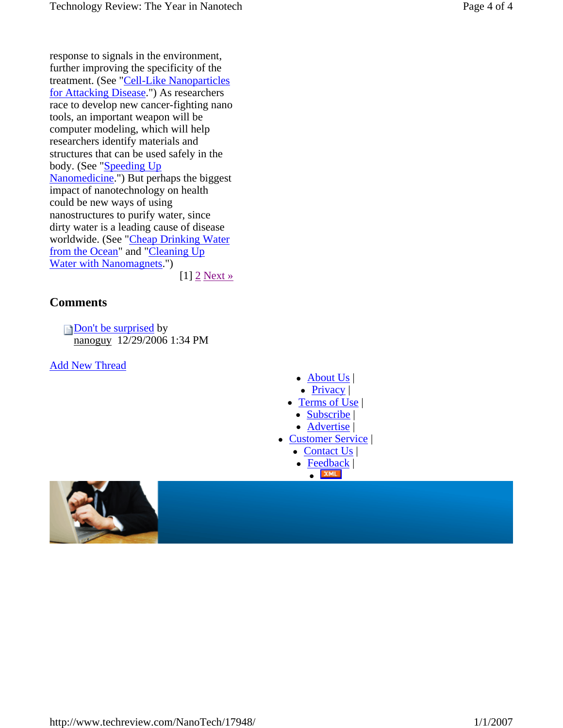response to signals in the environment, further improving the specificity of the treatment. (See "Cell-Like Nanoparticles for Attacking Disease.") As researchers race to develop new cancer-fighting nano tools, an important weapon will be computer modeling, which will help researchers identify materials and structures that can be used safely in the body. (See "Speeding Up Nanomedicine.") But perhaps the biggest impact of nanotechnology on health could be new ways of using nanostructures to purify water, since dirty water is a leading cause of disease worldwide. (See "Cheap Drinking Water from the Ocean" and "Cleaning Up Water with Nanomagnets.")  $[1]$  2 Next »

#### **Comments**

Don't be surprised by nanoguy 12/29/2006 1:34 PM

Add New Thread

- $\bullet$  About Us |
- $\bullet$  Privacy |
- $\bullet$  Terms of Use
	- Subscribe |
	- Advertise |
- Customer Service |
	- $\bullet$  Contact Us |
	- $\bullet$  Feedback |  $\bullet$  XML



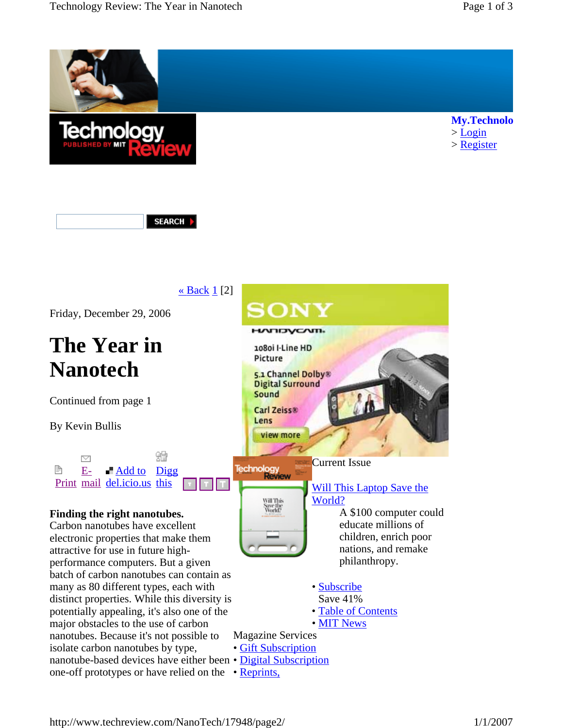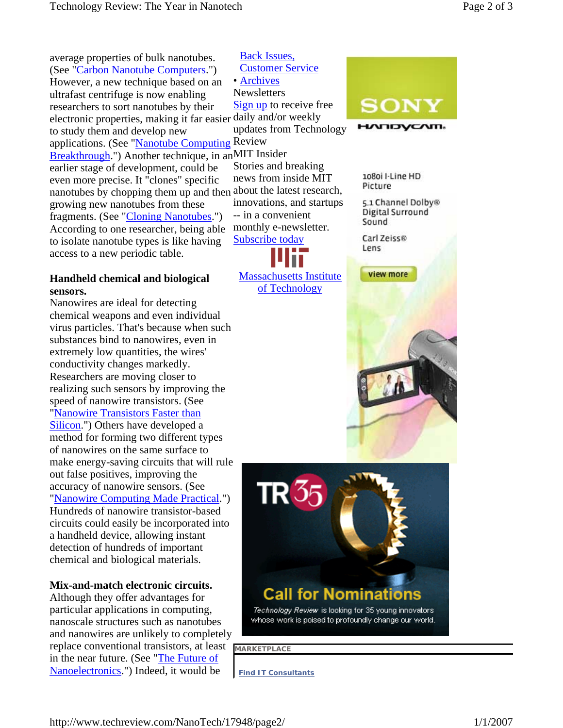average properties of bulk nanotubes. (See "Carbon Nanotube Computers.") However, a new technique based on an ultrafast centrifuge is now enabling researchers to sort nanotubes by their electronic properties, making it far easier daily and/or weekly to study them and develop new applications. (See "Nanotube Computing Review Breakthrough.") Another technique, in anMIT Insider earlier stage of development, could be even more precise. It "clones" specific nanotubes by chopping them up and then about the latest research, growing new nanotubes from these fragments. (See "Cloning Nanotubes.") According to one researcher, being able to isolate nanotube types is like having access to a new periodic table.

#### **Handheld chemical and biological sensors.**

Nanowires are ideal for detecting chemical weapons and even individual virus particles. That's because when such substances bind to nanowires, even in extremely low quantities, the wires' conductivity changes markedly. Researchers are moving closer to realizing such sensors by improving the speed of nanowire transistors. (See "Nanowire Transistors Faster than Silicon.") Others have developed a method for forming two different types of nanowires on the same surface to make energy-saving circuits that will rule out false positives, improving the accuracy of nanowire sensors. (See "Nanowire Computing Made Practical.") Hundreds of nanowire transistor-based circuits could easily be incorporated into a handheld device, allowing instant detection of hundreds of important chemical and biological materials.

#### **Mix-and-match electronic circuits.**

Although they offer advantages for particular applications in computing, nanoscale structures such as nanotubes and nanowires are unlikely to completely replace conventional transistors, at least in the near future. (See "The Future of Nanoelectronics.") Indeed, it would be

**Newsletters** Sign up to receive free updates from Technology Stories and breaking news from inside MIT innovations, and startups -- in a convenient monthly e-newsletter. Subscribe today Back Issues, Customer Service • Archives





# **Call for Nominations**

Technology Review is looking for 35 young innovators whose work is poised to profoundly change our world.

**MARKETPLACE** 

**Find IT Consultants**